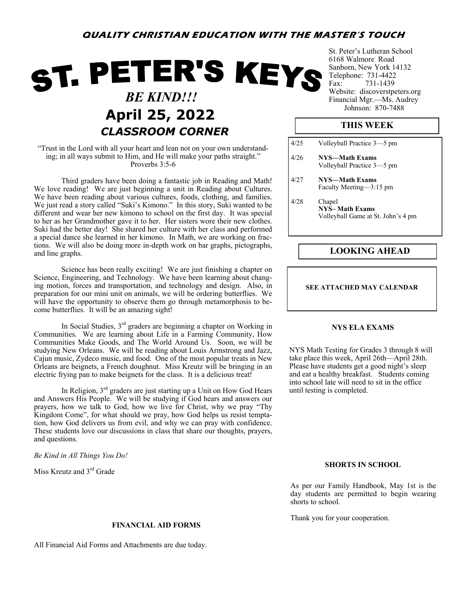# **QUALITY CHRISTIAN EDUCATION WITH THE MASTER'S TOUCH**

# ST. PETER'S KEYS  *BE KIND!!!* April 25, 2022 *CLASSROOM CORNER*

## "Trust in the Lord with all your heart and lean not on your own understanding; in all ways submit to Him, and He will make your paths straight." Proverbs 3:5-6

Third graders have been doing a fantastic job in Reading and Math! We love reading! We are just beginning a unit in Reading about Cultures. We have been reading about various cultures, foods, clothing, and families. We just read a story called "Suki's Kimono." In this story, Suki wanted to be different and wear her new kimono to school on the first day. It was special to her as her Grandmother gave it to her. Her sisters wore their new clothes. Suki had the better day! She shared her culture with her class and performed a special dance she learned in her kimono. In Math, we are working on fractions. We will also be doing more in-depth work on bar graphs, pictographs, and line graphs.

Science has been really exciting! We are just finishing a chapter on Science, Engineering, and Technology. We have been learning about changing motion, forces and transportation, and technology and design. Also, in preparation for our mini unit on animals, we will be ordering butterflies. We will have the opportunity to observe them go through metamorphosis to become butterflies. It will be an amazing sight!

In Social Studies,  $3<sup>rd</sup>$  graders are beginning a chapter on Working in Communities. We are learning about Life in a Farming Community, How Communities Make Goods, and The World Around Us. Soon, we will be studying New Orleans. We will be reading about Louis Armstrong and Jazz, Cajun music, Zydeco music, and food. One of the most popular treats in New Orleans are beignets, a French doughnut. Miss Kreutz will be bringing in an electric frying pan to make beignets for the class. It is a delicious treat!

In Religion,  $3<sup>rd</sup>$  graders are just starting up a Unit on How God Hears and Answers His People. We will be studying if God hears and answers our prayers, how we talk to God, how we live for Christ, why we pray "Thy Kingdom Come", for what should we pray, how God helps us resist temptation, how God delivers us from evil, and why we can pray with confidence. These students love our discussions in class that share our thoughts, prayers, and questions*.* 

*Be Kind in All Things You Do!*

Miss Kreutz and 3rd Grade

#### **FINANCIAL AID FORMS**

All Financial Aid Forms and Attachments are due today.

St. Peter's Lutheran School 6168 Walmore Road Sanborn, New York 14132 Telephone: 731-4422<br>Fax: 731-1439 731-1439 Website: discoverstpeters.org Financial Mgr.—Ms. Audrey<br>Johnson: 870-7488

## **THIS WEEK**

| 4/25 | Volleyball Practice 3–5 pm                                            |
|------|-----------------------------------------------------------------------|
| 4/26 | NYS—Math Exams<br>Volleyball Practice 3–5 pm                          |
| 4/27 | NYS—Math Exams<br>Faculty Meeting—3:15 pm                             |
| 4/28 | Chapel<br><b>NYS-Math Exams</b><br>Volleyball Game at St. John's 4 pm |

## **LOOKING AHEAD**

#### **SEE ATTACHED MAY CALENDAR**

## **NYS ELA EXAMS**

NYS Math Testing for Grades 3 through 8 will take place this week, April 26th—April 28th. Please have students get a good night's sleep and eat a healthy breakfast. Students coming into school late will need to sit in the office until testing is completed.

#### **SHORTS IN SCHOOL**

As per our Family Handbook, May 1st is the day students are permitted to begin wearing shorts to school.

Thank you for your cooperation.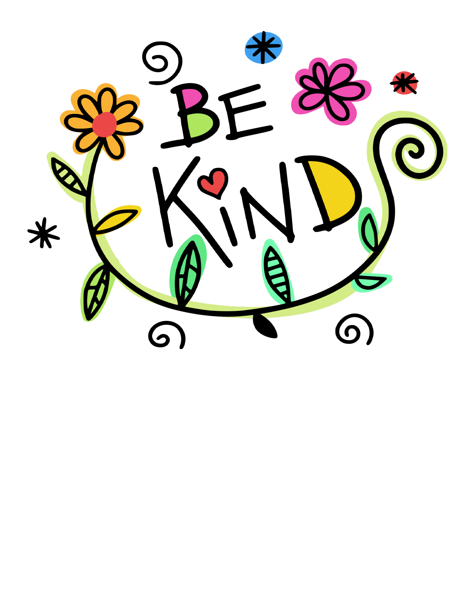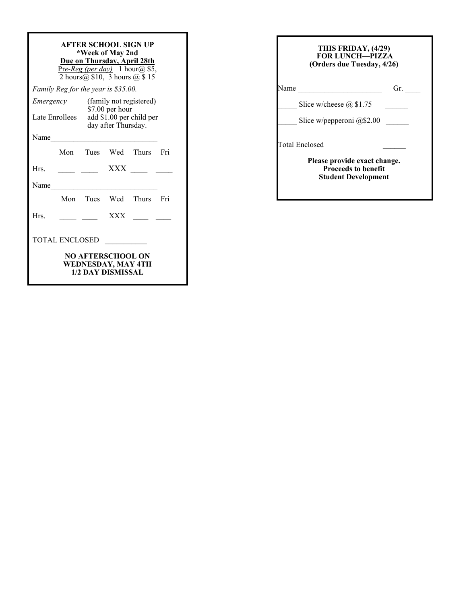| AFTER SCHOOL SIGN UP<br>*Week of May 2nd<br>Due on Thursday, April 28th<br>Pre-Reg (per day) 1 hour@ \$5,<br>2 hours $\overline{a}$ , \$10, 3 hours $\overline{a}$ , \$15 |  |                                                 |  |  |  |  |  |  |  |
|---------------------------------------------------------------------------------------------------------------------------------------------------------------------------|--|-------------------------------------------------|--|--|--|--|--|--|--|
| Family Reg for the year is \$35.00.                                                                                                                                       |  |                                                 |  |  |  |  |  |  |  |
| Emergency                                                                                                                                                                 |  | (family not registered)<br>\$7.00 per hour      |  |  |  |  |  |  |  |
| Late Enrollees                                                                                                                                                            |  | add \$1.00 per child per<br>day after Thursday. |  |  |  |  |  |  |  |
| Name                                                                                                                                                                      |  |                                                 |  |  |  |  |  |  |  |
|                                                                                                                                                                           |  | Mon Tues Wed Thurs Fri                          |  |  |  |  |  |  |  |
| Hrs.                                                                                                                                                                      |  |                                                 |  |  |  |  |  |  |  |
| Name                                                                                                                                                                      |  |                                                 |  |  |  |  |  |  |  |
|                                                                                                                                                                           |  | Mon Tues Wed Thurs Fri                          |  |  |  |  |  |  |  |
| Hrs.                                                                                                                                                                      |  | <b>XXX</b>                                      |  |  |  |  |  |  |  |
| <b>TOTAL ENCLOSED</b>                                                                                                                                                     |  |                                                 |  |  |  |  |  |  |  |
| <b>NO AFTERSCHOOL ON</b><br>WEDNESDAY, MAY 4TH<br><b>1/2 DAY DISMISSAL</b>                                                                                                |  |                                                 |  |  |  |  |  |  |  |

| THIS FRIDAY, (4/29)<br><b>FOR LUNCH-PIZZA</b><br>(Orders due Tuesday, 4/26) |                                                                                          |  |  |  |
|-----------------------------------------------------------------------------|------------------------------------------------------------------------------------------|--|--|--|
| Jame                                                                        | Gr.                                                                                      |  |  |  |
|                                                                             | Slice w/cheese $\omega$ \$1.75                                                           |  |  |  |
|                                                                             | Slice w/pepperoni $@$2.00$                                                               |  |  |  |
|                                                                             | Total Enclosed                                                                           |  |  |  |
|                                                                             | Please provide exact change.<br><b>Proceeds to benefit</b><br><b>Student Development</b> |  |  |  |